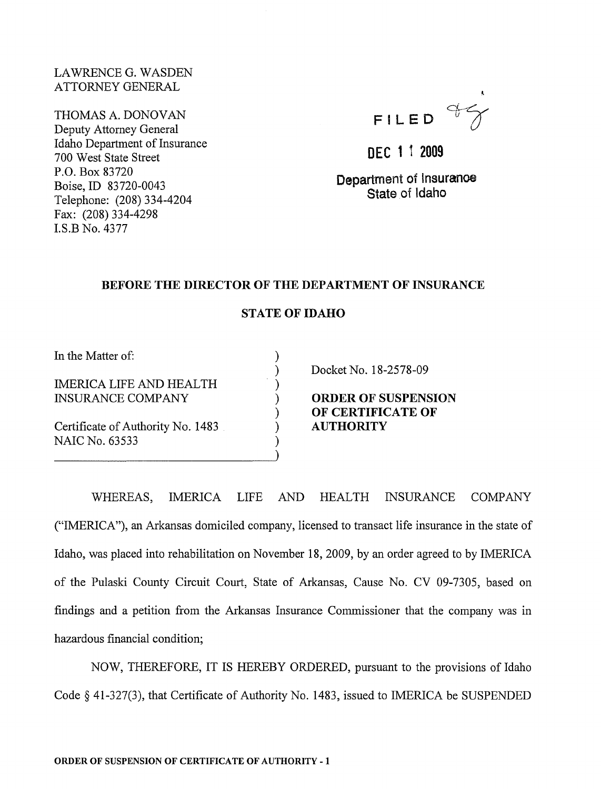LA WRENCE G. WASDEN ATTORNEY GENERAL

THOMAS A. DONOVAN Deputy Attorney General Idaho Department of Insurance 700 West State Street P.O. Box 83720 Boise, ID 83720-0043 Telephone: (208) 334-4204 Fax: (208) 334-4298 LS.B No. 4377



DEC 1 1 2009

Department of Insurance State of Idaho

## BEFORE THE DIRECTOR OF THE DEPARTMENT OF INSURANCE

## STATE OF IDAHO

) ) ) ) ) ) ) )

In the Matter of:

IMERICA LIFE AND HEALTH INSURANCE COMPANY

Certificate of Authority No. 1483 NAIC No. 63533

Docket No. 18-2578-09

ORDER OF SUSPENSION OF CERTIFICATE OF **AUTHORITY** 

WHEREAS, IMERICA LIFE AND HEALTH INSURANCE COMPANY ("IMERICA"), an Arkansas domiciled company, licensed to transact life insurance in the state of Idaho, was placed into rehabilitation on November 18,2009, by an order agreed to by IMERICA of the Pulaski County Circuit Court, State of Arkansas, Cause No. CV 09-7305, based on findings and a petition from the Arkansas Insurance Commissioner that the company was in hazardous financial condition;

NOW, THEREFORE, IT IS HEREBY ORDERED, pursuant to the provisions of Idaho Code § 41-327(3), that Certificate of Authority No. 1483, issued to IMERICA be SUSPENDED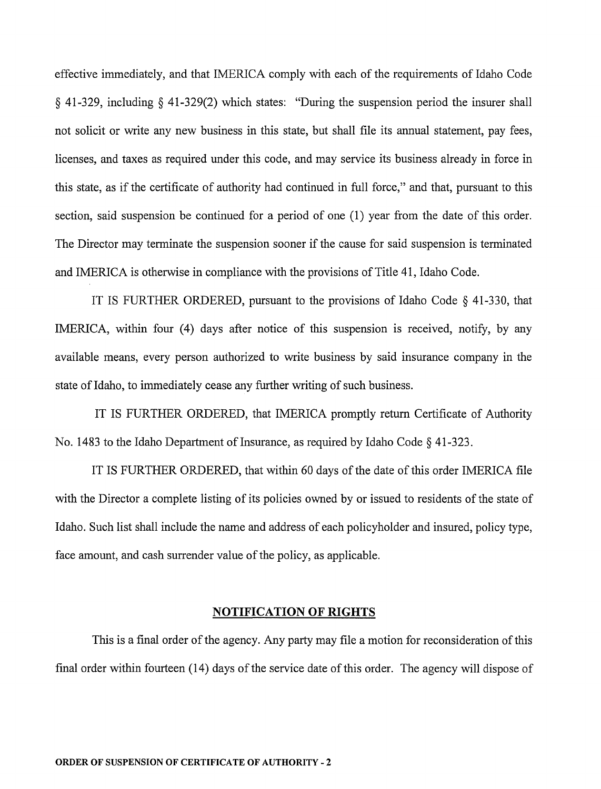effective immediately, and that IMERICA comply with each of the requirements of Idaho Code § 41-329, including § 41-329(2) which states: "During the suspension period the insurer shall not solicit or write any new business in this state, but shall file its annual statement, pay fees, licenses, and taxes as required under this code, and may service its business already in force in this state, as if the certificate of authority had continued in full force," and that, pursuant to this section, said suspension be continued for a period of one (1) year from the date of this order. The Director may terminate the suspension sooner if the cause for said suspension is terminated and IMERICA is otherwise in compliance with the provisions of Title 41, Idaho Code.

IT IS FURTHER ORDERED, pursuant to the provisions of Idaho Code  $\S$  41-330, that IMERICA, within four (4) days after notice of this suspension is received, notify, by any available means, every person authorized to write business by said insurance company in the state of Idaho, to immediately cease any further writing of such business.

IT IS FURTHER ORDERED, that IMERICA promptly return Certificate of Authority No. 1483 to the Idaho Department of Insurance, as required by Idaho Code  $\S$  41-323.

IT IS FURTHER ORDERED, that within 60 days of the date of this order IMERICA file with the Director a complete listing of its policies owned by or issued to residents of the state of Idaho. Such list shall include the name and address of each policyholder and insured, policy type, face amount, and cash surrender value of the policy, as applicable.

## **NOTIFICATION OF RIGHTS**

This is a final order of the agency. Any party may file a motion for reconsideration of this final order within fourteen (14) days of the service date of this order. The agency will dispose of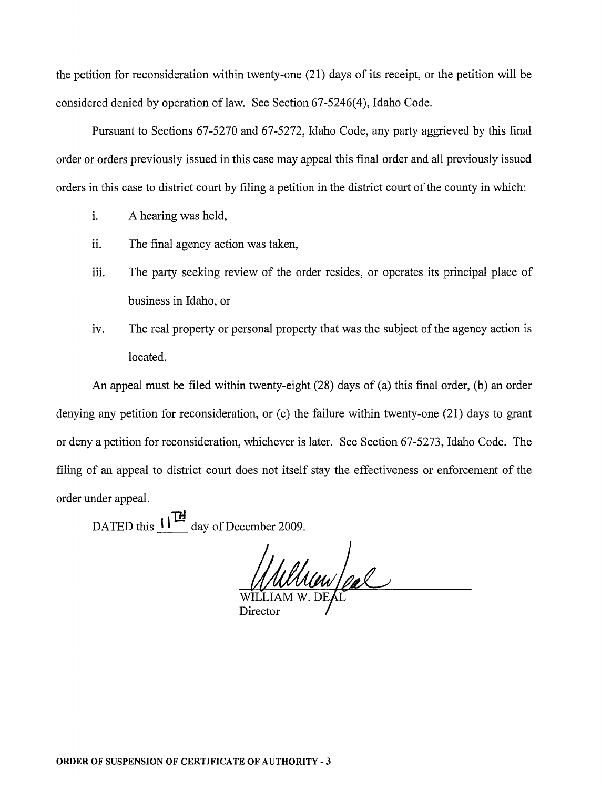the petition for reconsideration within twenty-one (21) days of its receipt, or the petition will be considered denied by operation of law. See Section 67-5246(4), Idaho Code.

Pursuant to Sections 67-5270 and 67-5272, Idaho Code, any party aggrieved by this final order or orders previously issued in this case may appeal this final order and all previously issued orders in this case to district court by filing a petition in the district court of the county in which:

- 1. A hearing was held,
- ii. The final agency action was taken,
- iii. The party seeking review of the order resides, or operates its principal place of business in Idaho, or
- iv. The real property or personal property that was the subject of the agency action is located.

An appeal must be filed within twenty-eight (28) days of (a) this final order, (b) an order denying any petition for reconsideration, or (c) the failure within twenty-one (21) days to grant or deny a petition for reconsideration, whichever is later. See Section 67-5273, Idaho Code. The filing of an appeal to district court does not itself stay the effectiveness or enforcement of the order under appeal.

DATED this  $11^{TH}$  day of December 2009.

William fel

Director